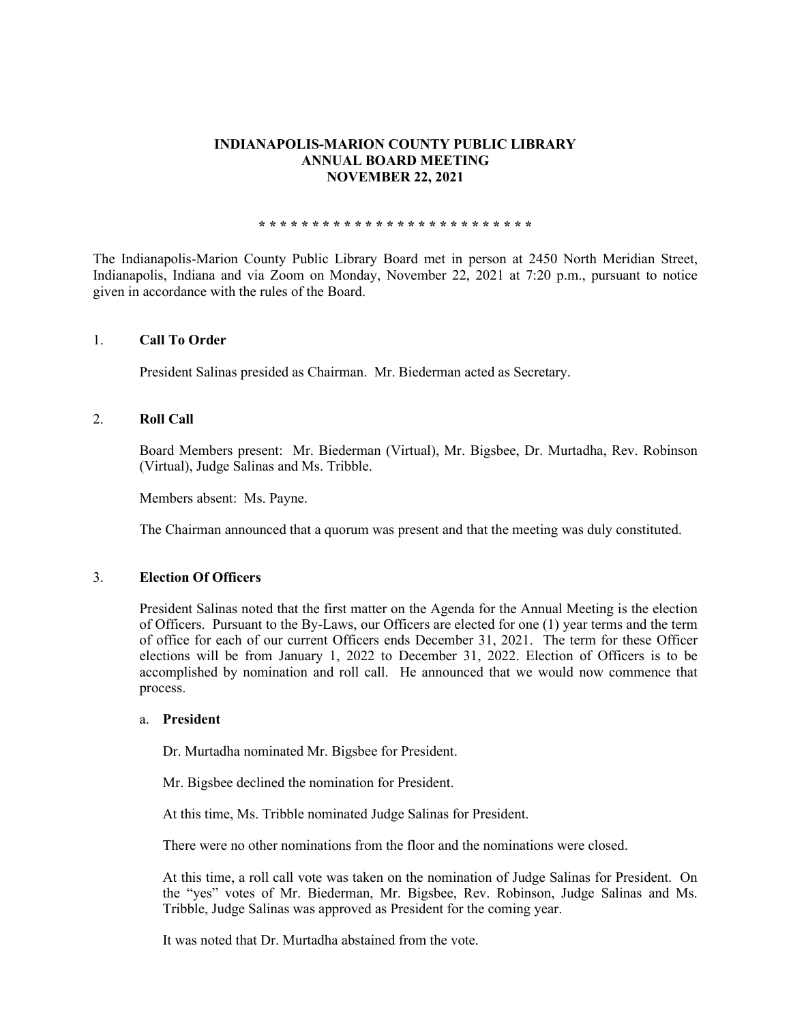# **INDIANAPOLIS-MARION COUNTY PUBLIC LIBRARY ANNUAL BOARD MEETING NOVEMBER 22, 2021**

#### **\* \* \* \* \* \* \* \* \* \* \* \* \* \* \* \* \* \* \* \* \* \* \* \* \* \***

The Indianapolis-Marion County Public Library Board met in person at 2450 North Meridian Street, Indianapolis, Indiana and via Zoom on Monday, November 22, 2021 at 7:20 p.m., pursuant to notice given in accordance with the rules of the Board.

# 1. **Call To Order**

President Salinas presided as Chairman. Mr. Biederman acted as Secretary.

#### 2. **Roll Call**

Board Members present: Mr. Biederman (Virtual), Mr. Bigsbee, Dr. Murtadha, Rev. Robinson (Virtual), Judge Salinas and Ms. Tribble.

Members absent: Ms. Payne.

The Chairman announced that a quorum was present and that the meeting was duly constituted.

### 3. **Election Of Officers**

President Salinas noted that the first matter on the Agenda for the Annual Meeting is the election of Officers. Pursuant to the By-Laws, our Officers are elected for one (1) year terms and the term of office for each of our current Officers ends December 31, 2021. The term for these Officer elections will be from January 1, 2022 to December 31, 2022. Election of Officers is to be accomplished by nomination and roll call. He announced that we would now commence that process.

#### a. **President**

Dr. Murtadha nominated Mr. Bigsbee for President.

Mr. Bigsbee declined the nomination for President.

At this time, Ms. Tribble nominated Judge Salinas for President.

There were no other nominations from the floor and the nominations were closed.

At this time, a roll call vote was taken on the nomination of Judge Salinas for President. On the "yes" votes of Mr. Biederman, Mr. Bigsbee, Rev. Robinson, Judge Salinas and Ms. Tribble, Judge Salinas was approved as President for the coming year.

It was noted that Dr. Murtadha abstained from the vote.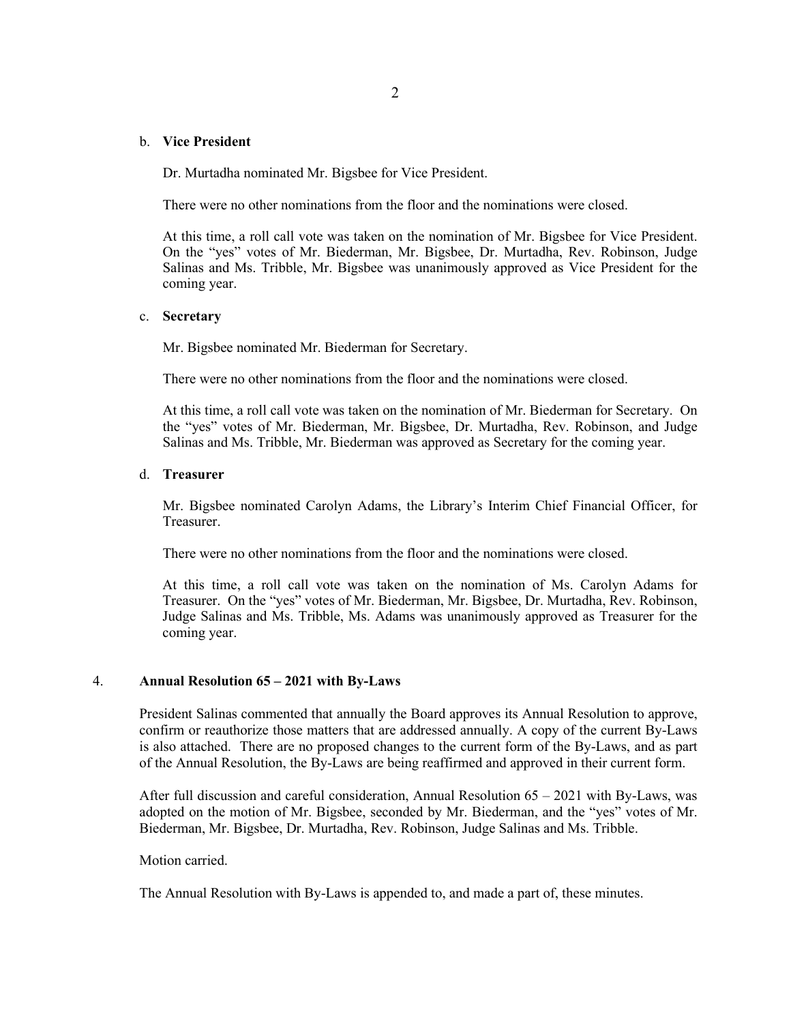## b. **Vice President**

Dr. Murtadha nominated Mr. Bigsbee for Vice President.

There were no other nominations from the floor and the nominations were closed.

At this time, a roll call vote was taken on the nomination of Mr. Bigsbee for Vice President. On the "yes" votes of Mr. Biederman, Mr. Bigsbee, Dr. Murtadha, Rev. Robinson, Judge Salinas and Ms. Tribble, Mr. Bigsbee was unanimously approved as Vice President for the coming year.

#### c. **Secretary**

Mr. Bigsbee nominated Mr. Biederman for Secretary.

There were no other nominations from the floor and the nominations were closed.

At this time, a roll call vote was taken on the nomination of Mr. Biederman for Secretary. On the "yes" votes of Mr. Biederman, Mr. Bigsbee, Dr. Murtadha, Rev. Robinson, and Judge Salinas and Ms. Tribble, Mr. Biederman was approved as Secretary for the coming year.

#### d. **Treasurer**

Mr. Bigsbee nominated Carolyn Adams, the Library's Interim Chief Financial Officer, for Treasurer.

There were no other nominations from the floor and the nominations were closed.

At this time, a roll call vote was taken on the nomination of Ms. Carolyn Adams for Treasurer. On the "yes" votes of Mr. Biederman, Mr. Bigsbee, Dr. Murtadha, Rev. Robinson, Judge Salinas and Ms. Tribble, Ms. Adams was unanimously approved as Treasurer for the coming year.

#### 4. **Annual Resolution 65 – 2021 with By-Laws**

President Salinas commented that annually the Board approves its Annual Resolution to approve, confirm or reauthorize those matters that are addressed annually. A copy of the current By-Laws is also attached. There are no proposed changes to the current form of the By-Laws, and as part of the Annual Resolution, the By-Laws are being reaffirmed and approved in their current form.

After full discussion and careful consideration, Annual Resolution 65 – 2021 with By-Laws, was adopted on the motion of Mr. Bigsbee, seconded by Mr. Biederman, and the "yes" votes of Mr. Biederman, Mr. Bigsbee, Dr. Murtadha, Rev. Robinson, Judge Salinas and Ms. Tribble.

Motion carried.

The Annual Resolution with By-Laws is appended to, and made a part of, these minutes.